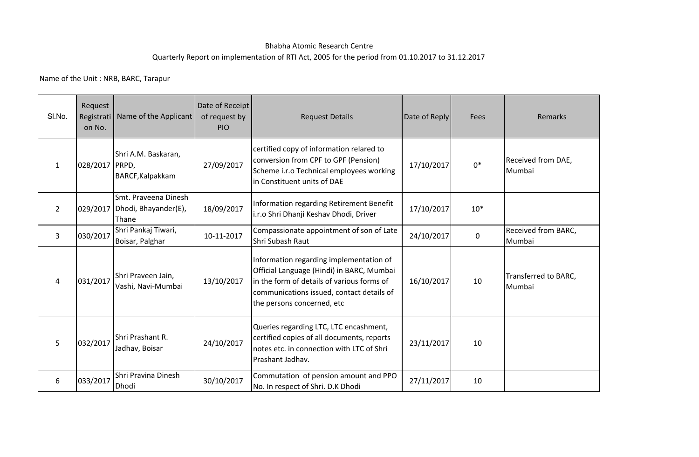## Bhabha Atomic Research CentreQuarterly Report on implementation of RTI Act, 2005 for the period from 01.10.2017 to 31.12.2017

Name of the Unit : NRB, BARC, Tarapur

| SI.No.         | Request<br>Registrati<br>on No. | Name of the Applicant                                            | Date of Receipt<br>of request by<br>PIO | <b>Request Details</b>                                                                                                                                                                                        | Date of Reply | Fees        | Remarks                        |
|----------------|---------------------------------|------------------------------------------------------------------|-----------------------------------------|---------------------------------------------------------------------------------------------------------------------------------------------------------------------------------------------------------------|---------------|-------------|--------------------------------|
| 1              | 028/2017 PRPD,                  | Shri A.M. Baskaran,<br>BARCF, Kalpakkam                          | 27/09/2017                              | certified copy of information relared to<br>conversion from CPF to GPF (Pension)<br>Scheme i.r.o Technical employees working<br>in Constituent units of DAE                                                   | 17/10/2017    | $0*$        | Received from DAE,<br>Mumbai   |
| $\overline{2}$ |                                 | Smt. Praveena Dinesh<br>029/2017   Dhodi, Bhayander(E),<br>Thane | 18/09/2017                              | Information regarding Retirement Benefit<br>i.r.o Shri Dhanji Keshav Dhodi, Driver                                                                                                                            | 17/10/2017    | $10*$       |                                |
| 3              | 030/2017                        | Shri Pankaj Tiwari,<br>Boisar, Palghar                           | 10-11-2017                              | Compassionate appointment of son of Late<br>Shri Subash Raut                                                                                                                                                  | 24/10/2017    | $\mathbf 0$ | Received from BARC,<br>Mumbai  |
| 4              | 031/2017                        | Shri Praveen Jain,<br>Vashi, Navi-Mumbai                         | 13/10/2017                              | Information regarding implementation of<br>Official Language (Hindi) in BARC, Mumbai<br>in the form of details of various forms of<br>communications issued, contact details of<br>the persons concerned, etc | 16/10/2017    | 10          | Transferred to BARC,<br>Mumbai |
| 5              | 032/2017                        | Shri Prashant R.<br>Jadhav, Boisar                               | 24/10/2017                              | Queries regarding LTC, LTC encashment,<br>certified copies of all documents, reports<br>notes etc. in connection with LTC of Shri<br>Prashant Jadhav.                                                         | 23/11/2017    | 10          |                                |
| 6              | 033/2017                        | Shri Pravina Dinesh<br>Dhodi                                     | 30/10/2017                              | Commutation of pension amount and PPO<br>No. In respect of Shri. D.K Dhodi                                                                                                                                    | 27/11/2017    | 10          |                                |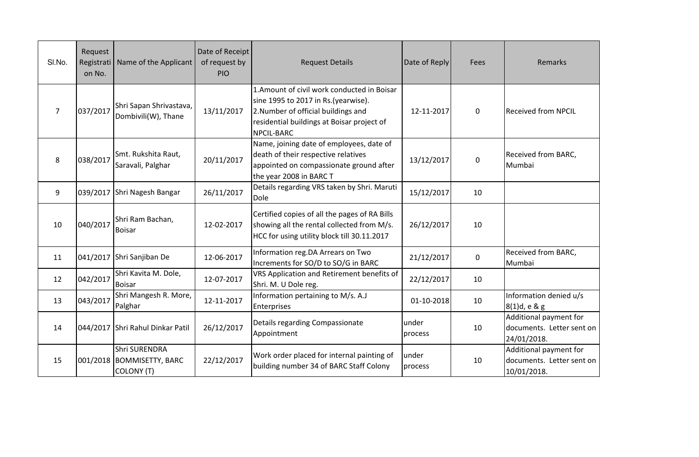| SI.No. | Request<br>Registrati<br>on No. | Name of the Applicant                                         | Date of Receipt<br>of request by<br><b>PIO</b> | <b>Request Details</b>                                                                                                                                                                | Date of Reply    | Fees        | Remarks                                                            |
|--------|---------------------------------|---------------------------------------------------------------|------------------------------------------------|---------------------------------------------------------------------------------------------------------------------------------------------------------------------------------------|------------------|-------------|--------------------------------------------------------------------|
| 7      | 037/2017                        | Shri Sapan Shrivastava,<br>Dombivili(W), Thane                | 13/11/2017                                     | 1. Amount of civil work conducted in Boisar<br>sine 1995 to 2017 in Rs.(yearwise).<br>2. Number of official buildings and<br>residential buildings at Boisar project of<br>NPCIL-BARC | 12-11-2017       | $\mathbf 0$ | <b>Received from NPCIL</b>                                         |
| 8      | 038/2017                        | Smt. Rukshita Raut,<br>Saravali, Palghar                      | 20/11/2017                                     | Name, joining date of employees, date of<br>death of their respective relatives<br>appointed on compassionate ground after<br>the year 2008 in BARC T                                 | 13/12/2017       | $\mathbf 0$ | Received from BARC,<br>Mumbai                                      |
| 9      |                                 | 039/2017 Shri Nagesh Bangar                                   | 26/11/2017                                     | Details regarding VRS taken by Shri. Maruti<br>Dole                                                                                                                                   | 15/12/2017       | 10          |                                                                    |
| 10     | 040/2017                        | Shri Ram Bachan,<br><b>Boisar</b>                             | 12-02-2017                                     | Certified copies of all the pages of RA Bills<br>showing all the rental collected from M/s.<br>HCC for using utility block till 30.11.2017                                            | 26/12/2017       | 10          |                                                                    |
| 11     | 041/2017                        | Shri Sanjiban De                                              | 12-06-2017                                     | Information reg.DA Arrears on Two<br>Increments for SO/D to SO/G in BARC                                                                                                              | 21/12/2017       | $\mathbf 0$ | Received from BARC,<br>Mumbai                                      |
| 12     | 042/2017                        | Shri Kavita M. Dole,<br><b>Boisar</b>                         | 12-07-2017                                     | VRS Application and Retirement benefits of<br>Shri. M. U Dole reg.                                                                                                                    | 22/12/2017       | 10          |                                                                    |
| 13     | 043/2017                        | Shri Mangesh R. More,<br>Palghar                              | 12-11-2017                                     | Information pertaining to M/s. A.J<br>Enterprises                                                                                                                                     | 01-10-2018       | 10          | Information denied u/s<br>8(1)d, e & g                             |
| 14     |                                 | 044/2017 Shri Rahul Dinkar Patil                              | 26/12/2017                                     | Details regarding Compassionate<br>Appointment                                                                                                                                        | under<br>process | 10          | Additional payment for<br>documents. Letter sent on<br>24/01/2018. |
| 15     | 001/2018                        | <b>Shri SURENDRA</b><br><b>BOMMISETTY, BARC</b><br>COLONY (T) | 22/12/2017                                     | Work order placed for internal painting of<br>building number 34 of BARC Staff Colony                                                                                                 | under<br>process | 10          | Additional payment for<br>documents. Letter sent on<br>10/01/2018. |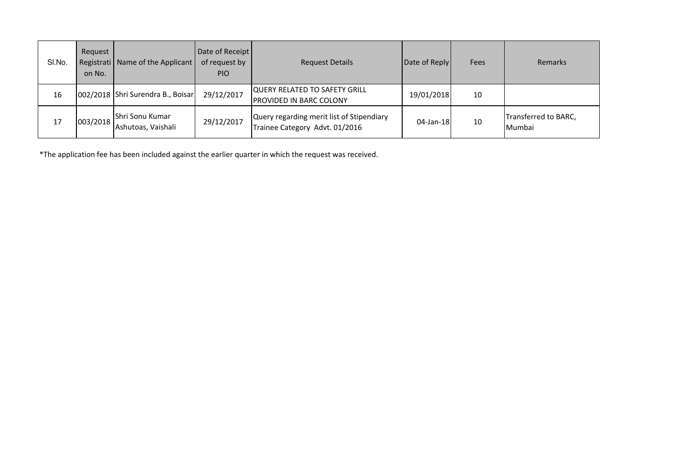| SI.No. | Request<br>on No. | Registrati   Name of the Applicant    | Date of Receipt<br>of request by<br><b>PIO</b> | <b>Request Details</b>                                                      | Date of Reply | Fees | <b>Remarks</b>                 |
|--------|-------------------|---------------------------------------|------------------------------------------------|-----------------------------------------------------------------------------|---------------|------|--------------------------------|
| 16     |                   | 002/2018 Shri Surendra B., Boisar     | 29/12/2017                                     | <b>QUERY RELATED TO SAFETY GRILL</b><br>PROVIDED IN BARC COLONY             | 19/01/2018    | 10   |                                |
| 17     | 003/2018          | Shri Sonu Kumar<br>Ashutoas, Vaishali | 29/12/2017                                     | Query regarding merit list of Stipendiary<br>Trainee Category Advt. 01/2016 | 04-Jan-18     | 10   | Transferred to BARC,<br>Mumbai |

\*The application fee has been included against the earlier quarter in which the request was received.